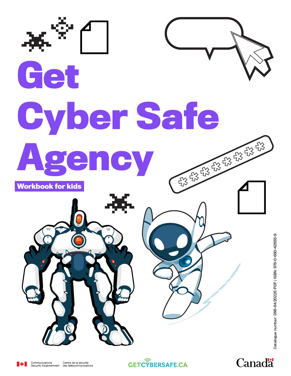

Canadä



Centre de la sécurité des télécommunications **GETC<sup>T</sup>BERSAFE.CA**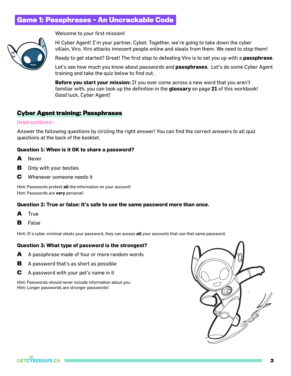# **Game 1: Passphrases – An Uncrackable Code**



Welcome to your first mission!

Hi Cyber Agent! I'm your partner, Cybot. Together, we're going to take down the cyber villain, Viro. Viro attacks innocent people online and steals from them. We need to stop them!

Ready to get started? Great! The first step to defeating Viro is to set you up with a **passphrase**.

Let's see how much you know about passwords and **passphrases**. Let's do some Cyber Agent training and take the quiz below to find out.

**Before you start your mission:** If you ever come across a new word that you aren't familiar with, you can look up the definition in the **glossary** on page **21** of this workbook! Good luck, Cyber Agent!

## **Cyber Agent training: Passphrases**

#### Instructions:

Answer the following questions by circling the right answer! You can find the correct answers to all quiz questions at the back of the booklet.

#### **Question 1: When is it OK to share a password?**

- **A** Never
- **B** Only with your besties
- **C** Whenever someone needs it

Hint: Passwords protect **all** the information on your account! Hint: Passwords are **very** personal!

#### **Question 2: True or false: It's safe to use the same password more than once.**

- **A** True
- **B** False

Hint: If a cyber criminal steals your password, they can access **all** your accounts that use that same password.

#### **Question 3: What type of password is the strongest?**

- **A** A passphrase made of four or more random words
- **B** A password that's as short as possible
- **C** A password with your pet's name in it

Hint: Passwords should never include information about you. Hint: Longer passwords are stronger passwords!



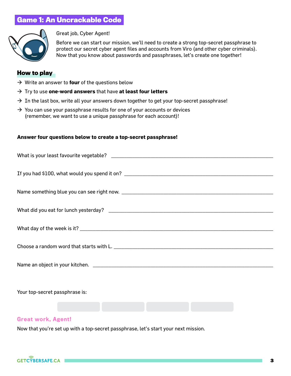# **Game 1: An Uncrackable Code**



Great job, Cyber Agent!

Before we can start our mission, we'll need to create a strong top-secret passphrase to protect our secret cyber agent files and accounts from Viro (and other cyber criminals). Now that you know about passwords and passphrases, let's create one together!

### **How to play**

- $\rightarrow$  Write an answer to **four** of the questions below
- → Try to use **one-word answers** that have **at least four letters**
- $\rightarrow$  In the last box, write all your answers down together to get your top-secret passphrase!
- $\rightarrow$  You can use your passphrase results for one of your accounts or devices (remember, we want to use a unique passphrase for each account)!

#### **Answer four questions below to create a top-secret passphrase!**

| Your top-secret passphrase is: |  |  |  |  |  |  |  |  |  |  |  |
|--------------------------------|--|--|--|--|--|--|--|--|--|--|--|
|                                |  |  |  |  |  |  |  |  |  |  |  |

## Great work, Agent!

Now that you're set up with a top-secret passphrase, let's start your next mission.

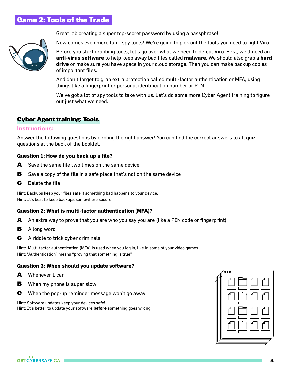# **Game 2: Tools of the Trade**



Great job creating a super top-secret password by using a passphrase!

Now comes even more fun… spy tools! We're going to pick out the tools you need to fight Viro.

Before you start grabbing tools, let's go over what we need to defeat Viro. First, we'll need an **anti-virus software** to help keep away bad files called **malware**. We should also grab a **hard drive** or make sure you have space in your cloud storage. Then you can make backup copies of important files.

And don't forget to grab extra protection called multi-factor authentication or MFA, using things like a fingerprint or personal identification number or PIN.

We've got a lot of spy tools to take with us. Let's do some more Cyber Agent training to figure out just what we need.

## **Cyber Agent training: Tools**

#### Instructions:

Answer the following questions by circling the right answer! You can find the correct answers to all quiz questions at the back of the booklet.

#### **Question 1: How do you back up a file?**

- **A** Save the same file two times on the same device
- **B** Save a copy of the file in a safe place that's not on the same device
- **C** Delete the file

Hint: Backups keep your files safe if something bad happens to your device. Hint: It's best to keep backups somewhere secure.

#### **Question 2: What is multi-factor authentication (MFA)?**

- **A** An extra way to prove that you are who you say you are (like a PIN code or fingerprint)
- **B** A long word
- **C** A riddle to trick cyber criminals

Hint: Multi-factor authentication (MFA) is used when you log in, like in some of your video games. Hint: "Authentication" means "proving that something is true".

#### **Question 3: When should you update software?**

- **A** Whenever I can
- **B** When my phone is super slow
- **C** When the pop-up reminder message won't go away

Hint: Software updates keep your devices safe! Hint: It's better to update your software **before** something goes wrong!



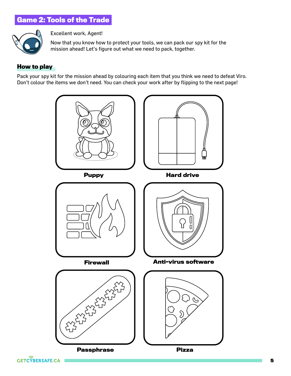# **Game 2: Tools of the Trade**



Excellent work, Agent!

Now that you know how to protect your tools, we can pack our spy kit for the mission ahead! Let's figure out what we need to pack, together.

## **How to play**

Pack your spy kit for the mission ahead by colouring each item that you think we need to defeat Viro. Don't colour the items we don't need. You can check your work after by flipping to the next page!



**GETC<sup>Y</sup>BERSAFE.CA**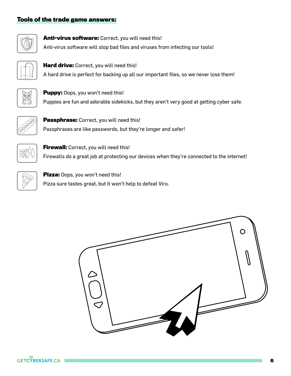# **Tools of the trade game answers:**



**Anti-virus software:** Correct, you will need this! Anti-virus software will stop bad files and viruses from infecting our tools!



**Hard drive:** Correct, you will need this! A hard drive is perfect for backing up all our important files, so we never lose them!



**Puppy:** Oops, you won't need this! Puppies are fun and adorable sidekicks, but they aren't very good at getting cyber safe.



**Passphrase:** Correct, you will need this! Passphrases are like passwords, but they're longer and safer!



**Firewall:** Correct, you will need this! Firewalls do a great job at protecting our devices when they're connected to the internet!



**Pizza:** Oops, you won't need this! Pizza sure tastes great, but it won't help to defeat Viro.



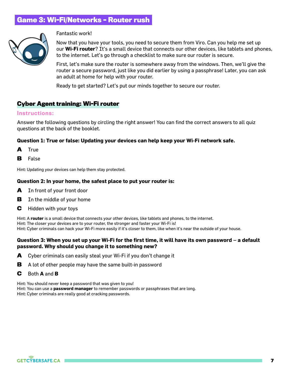# **Game 3: Wi-Fi/Networks – Router rush**



#### Fantastic work!

Now that you have your tools, you need to secure them from Viro. Can you help me set up our **Wi-Fi router**? It's a small device that connects our other devices, like tablets and phones, to the internet. Let's go through a checklist to make sure our router is secure.

First, let's make sure the router is somewhere away from the windows. Then, we'll give the router a secure password, just like you did earlier by using a passphrase! Later, you can ask an adult at home for help with your router.

Ready to get started? Let's put our minds together to secure our router.

## **Cyber Agent training: Wi-Fi router**

#### Instructions:

Answer the following questions by circling the right answer! You can find the correct answers to all quiz questions at the back of the booklet.

#### **Question 1: True or false: Updating your devices can help keep your Wi-Fi network safe.**

- **A** True
- **B** False

Hint: Updating your devices can help them stay protected.

#### **Question 2: In your home, the safest place to put your router is:**

- **A** In front of your front door
- **B** In the middle of your home
- **C** Hidden with your toys

Hint: A **router** is a small device that connects your other devices, like tablets and phones, to the internet. Hint: The closer your devices are to your router, the stronger and faster your Wi-Fi is! Hint: Cyber criminals can hack your Wi-Fi more easily if it's closer to them, like when it's near the outside of your house.

#### **Question 3: When you set up your Wi-Fi for the first time, it will have its own password – a default password. Why should you change it to something new?**

- **A** Cyber criminals can easily steal your Wi-Fi if you don't change it
- **B** A lot of other people may have the same built-in password
- **C** Both **A** and **B**

Hint: You should never keep a password that was given to you!

Hint: You can use a **password manager** to remember passwords or passphrases that are long.

Hint: Cyber criminals are really good at cracking passwords.

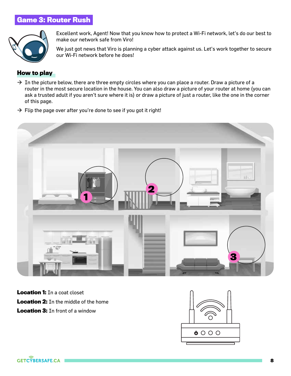# **Game 3: Router Rush**



Excellent work, Agent! Now that you know how to protect a Wi-Fi network, let's do our best to make our network safe from Viro!

We just got news that Viro is planning a cyber attack against us. Let's work together to secure our Wi-Fi network before he does!

## **How to play**

- $\rightarrow$  In the picture below, there are three empty circles where you can place a router. Draw a picture of a router in the most secure location in the house. You can also draw a picture of your router at home (you can ask a trusted adult if you aren't sure where it is) or draw a picture of just a router, like the one in the corner of this page.
- $\rightarrow$  Flip the page over after you're done to see if you got it right!



**Location 1:** In a coat closet **Location 2:** In the middle of the home **Location 3:** In front of a window

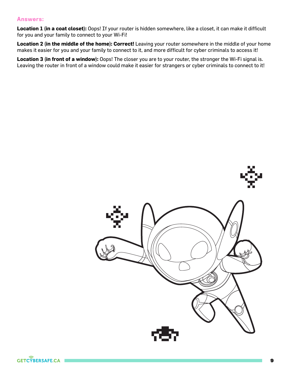## Answers:

**Location 1 (in a coat closet):** Oops! If your router is hidden somewhere, like a closet, it can make it difficult for you and your family to connect to your Wi-Fi!

**Location 2 (in the middle of the home): Correct!** Leaving your router somewhere in the middle of your home makes it easier for you and your family to connect to it, and more difficult for cyber criminals to access it!

**Location 3 (in front of a window):** Oops! The closer you are to your router, the stronger the Wi-Fi signal is. Leaving the router in front of a window could make it easier for strangers or cyber criminals to connect to it!

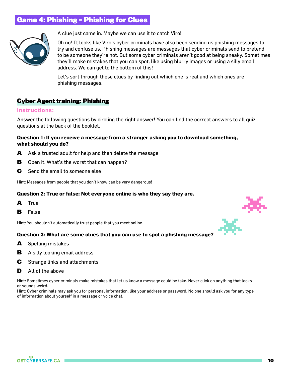# **Game 4: Phishing – Phishing for Clues**



A clue just came in. Maybe we can use it to catch Viro!

Oh no! It looks like Viro's cyber criminals have also been sending us phishing messages to try and confuse us. Phishing messages are messages that cyber criminals send to pretend to be someone they're not. But some cyber criminals aren't good at being sneaky. Sometimes they'll make mistakes that you can spot, like using blurry images or using a silly email address. We can get to the bottom of this!

Let's sort through these clues by finding out which one is real and which ones are phishing messages.

## **Cyber Agent training: Phishing**

#### Instructions:

Answer the following questions by circling the right answer! You can find the correct answers to all quiz questions at the back of the booklet.

#### **Question 1: If you receive a message from a stranger asking you to download something, what should you do?**

- **A** Ask a trusted adult for help and then delete the message
- **B** Open it. What's the worst that can happen?
- **C** Send the email to someone else

Hint: Messages from people that you don't know can be very dangerous!

#### **Question 2: True or false: Not everyone online is who they say they are.**

- **A** True
- **B** False

Hint: You shouldn't automatically trust people that you meet online.

#### **Question 3: What are some clues that you can use to spot a phishing message?**

- **A** Spelling mistakes
- **B** A silly looking email address
- **C** Strange links and attachments
- **D** All of the above

Hint: Sometimes cyber criminals make mistakes that let us know a message could be fake. Never click on anything that looks or sounds weird.

Hint: Cyber criminals may ask you for personal information, like your address or password. No one should ask you for any type of information about yourself in a message or voice chat.



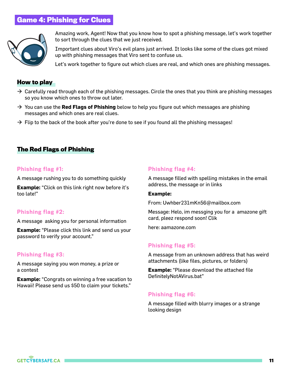# **Game 4: Phishing for Clues**



Amazing work, Agent! Now that you know how to spot a phishing message, let's work together to sort through the clues that we just received.

Important clues about Viro's evil plans just arrived. It looks like some of the clues got mixed up with phishing messages that Viro sent to confuse us.

Let's work together to figure out which clues are real, and which ones are phishing messages.

## **How to play**

- $\rightarrow$  Carefully read through each of the phishing messages. Circle the ones that you think are phishing messages so you know which ones to throw out later.
- $\rightarrow$  You can use the **Red Flags of Phishing** below to help you figure out which messages are phishing messages and which ones are real clues.
- $\rightarrow$  Flip to the back of the book after you're done to see if you found all the phishing messages!

## **The Red Flags of Phishing**

#### Phishing flag #1:

A message rushing you to do something quickly

**Example:** "Click on this link right now before it's too late!"

## Phishing flag #2:

A message asking you for personal information

**Example:** "Please click this link and send us your password to verify your account."

## Phishing flag #3:

A message saying you won money, a prize or a contest

**Example:** "Congrats on winning a free vacation to Hawaii! Please send us \$50 to claim your tickets."

#### Phishing flag #4:

A message filled with spelling mistakes in the email address, the message or in links

#### **Example:**

From: Uwhber231mKn56@mailbox.com

Message: Helo, im messging you for a amazone gift card, pleez respond soon! Clik

here: aamazone.com

## Phishing flag #5:

A message from an unknown address that has weird attachments (like files, pictures, or folders)

**Example:** "Please download the attached file DefinitelyNotAVirus.bat"

#### Phishing flag #6:

A message filled with blurry images or a strange looking design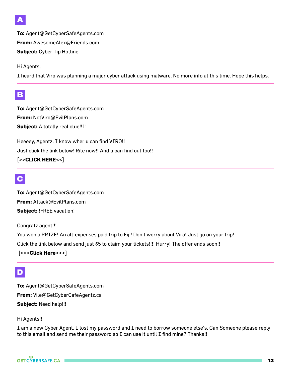

**To:** Agent@GetCyberSafeAgents.com **From:** AwesomeAlex@Friends.com **Subject:** Cyber Tip Hotline

Hi Agents,

I heard that Viro was planning a major cyber attack using malware. No more info at this time. Hope this helps.

# **B**

**To:** Agent@GetCyberSafeAgents.com **From:** NotViro@EvilPlans.com **Subject:** A totally real clue!!1!

Heeeey, Agentz. I know wher u can find VIRO!! Just click the link below! Rite now!! And u can find out too!! **[>>CLICK HERE<<]** 

# **C**

**To:** Agent@GetCyberSafeAgents.com **From:** Attack@EvilPlans.com **Subject:** !FREE vacation!

Congratz agent!!!

You won a PRIZE! An all-expenses paid trip to Fiji! Don't worry about Viro! Just go on your trip! Click the link below and send just \$5 to claim your tickets!!!! Hurry! The offer ends soon!!

**[>>>Click Here<<<]**

# **D**

**To:** Agent@GetCyberSafeAgents.com **From:** Vile@GetCyberCafeAgentz.ca **Subject:** Need help!!!

## Hi Agents!!

I am a new Cyber Agent. I lost my password and I need to borrow someone else's. Can Someone please reply to this email and send me their password so I can use it until I find mine? Thanks!!

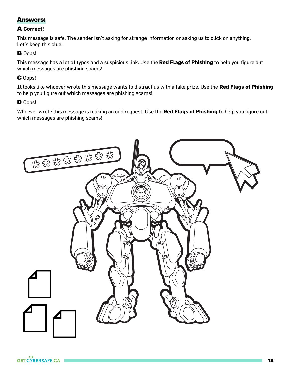# **Answers:**

## **A Correct!**

This message is safe. The sender isn't asking for strange information or asking us to click on anything. Let's keep this clue.

## **B** Oops!

This message has a lot of typos and a suspicious link. Use the **Red Flags of Phishing** to help you figure out which messages are phishing scams!

## **C** Oops!

It looks like whoever wrote this message wants to distract us with a fake prize. Use the **Red Flags of Phishing** to help you figure out which messages are phishing scams!

## **D** Oops!

Whoever wrote this message is making an odd request. Use the **Red Flags of Phishing** to help you figure out which messages are phishing scams!

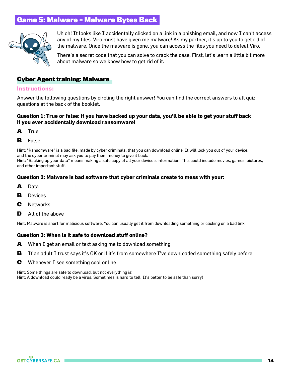# **Game 5: Malware – Malware Bytes Back**



Uh oh! It looks like I accidentally clicked on a link in a phishing email, and now I can't access any of my files. Viro must have given me malware! As my partner, it's up to you to get rid of the malware. Once the malware is gone, you can access the files you need to defeat Viro.

There's a secret code that you can solve to crack the case. First, let's learn a little bit more about malware so we know how to get rid of it.

## **Cyber Agent training: Malware**

#### Instructions:

Answer the following questions by circling the right answer! You can find the correct answers to all quiz questions at the back of the booklet.

### **Question 1: True or false: If you have backed up your data, you'll be able to get your stuff back if you ever accidentally download ransomware!**

**A** True

#### **B** False

Hint: "Ransomware" is a bad file, made by cyber criminals, that you can download online. It will lock you out of your device, and the cyber criminal may ask you to pay them money to give it back.

Hint: "Backing up your data" means making a safe copy of all your device's information! This could include movies, games, pictures, and other important stuff.

#### **Question 2: Malware is bad software that cyber criminals create to mess with your:**

- **A** Data
- **B** Devices
- **C** Networks
- **D** All of the above

Hint: Malware is short for malicious software. You can usually get it from downloading something or clicking on a bad link.

#### **Question 3: When is it safe to download stuff online?**

- **A** When I get an email or text asking me to download something
- **B** If an adult I trust says it's OK or if it's from somewhere I've downloaded something safely before
- **C** Whenever I see something cool online

Hint: Some things are safe to download, but not everything is! Hint: A download could really be a virus. Sometimes is hard to tell. It's better to be safe than sorry!

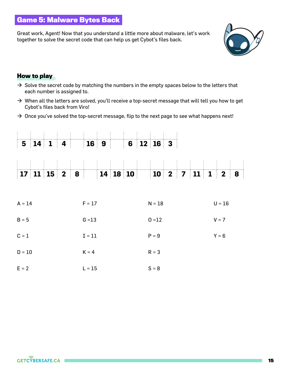# **Game 5: Malware Bytes Back**

Great work, Agent! Now that you understand a little more about malware, let's work together to solve the secret code that can help us get Cybot's files back.



## **How to play**

- $\rightarrow$  Solve the secret code by matching the numbers in the empty spaces below to the letters that each number is assigned to.
- $\rightarrow$  When all the letters are solved, you'll receive a top-secret message that will tell you how to get Cybot's files back from Viro!
- $\rightarrow$  Once you've solved the top-secret message, flip to the next page to see what happens next!

|          |          |  |  |          | $\begin{array}{ c c } \hline \end{array}$ 16 9 |  |  |  |          | $6 \mid 12 \mid 16 \mid 3$ |  |  |  |          |         |   |  |  |
|----------|----------|--|--|----------|------------------------------------------------|--|--|--|----------|----------------------------|--|--|--|----------|---------|---|--|--|
|          |          |  |  |          |                                                |  |  |  |          |                            |  |  |  |          |         |   |  |  |
|          |          |  |  |          |                                                |  |  |  |          |                            |  |  |  |          |         |   |  |  |
|          |          |  |  |          |                                                |  |  |  |          |                            |  |  |  |          |         | 8 |  |  |
| $A = 14$ |          |  |  | $F = 17$ |                                                |  |  |  | $N = 18$ |                            |  |  |  | $U = 16$ |         |   |  |  |
| $B = 5$  |          |  |  | $G = 13$ |                                                |  |  |  | $0 = 12$ |                            |  |  |  | $V = 7$  |         |   |  |  |
| $C = 1$  |          |  |  |          | $\mathbf{I} = \mathbf{1} \mathbf{1}$           |  |  |  |          | $P = 9$                    |  |  |  |          | $Y = 6$ |   |  |  |
|          | $D = 10$ |  |  |          | $K = 4$                                        |  |  |  |          | $R = 3$                    |  |  |  |          |         |   |  |  |
|          | $E = 2$  |  |  |          | $L = 15$                                       |  |  |  |          | $S = 8$                    |  |  |  |          |         |   |  |  |

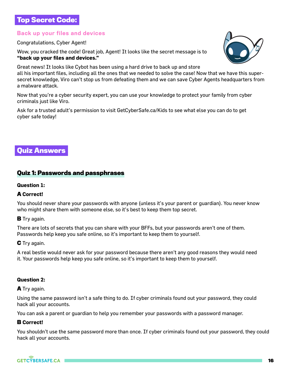# **Top Secret Code:**

## Back up your files and devices

Congratulations, Cyber Agent!

Wow, you cracked the code! Great job, Agent! It looks like the secret message is to **"back up your files and devices."** 

Great news! It looks like Cybot has been using a hard drive to back up and store all his important files, including all the ones that we needed to solve the case! Now that we have this supersecret knowledge, Viro can't stop us from defeating them and we can save Cyber Agents headquarters from a malware attack.

Now that you're a cyber security expert, you can use your knowledge to protect your family from cyber criminals just like Viro.

Ask for a trusted adult's permission to visit GetCyberSafe.ca/Kids to see what else you can do to get cyber safe today!

# **Quiz Answers**

## **Quiz 1: Passwords and passphrases**

### **Question 1:**

## **A Correct!**

You should never share your passwords with anyone (unless it's your parent or guardian). You never know who might share them with someone else, so it's best to keep them top secret.

#### **B** Try again.

There are lots of secrets that you can share with your BFFs, but your passwords aren't one of them. Passwords help keep you safe online, so it's important to keep them to yourself.

## **C** Try again.

A real bestie would never ask for your password because there aren't any good reasons they would need it. Your passwords help keep you safe online, so it's important to keep them to yourself.

## **Question 2:**

#### **A** Try again.

Using the same password isn't a safe thing to do. If cyber criminals found out your password, they could hack all your accounts.

You can ask a parent or guardian to help you remember your passwords with a password manager.

## **B Correct!**

You shouldn't use the same password more than once. If cyber criminals found out your password, they could hack all your accounts.

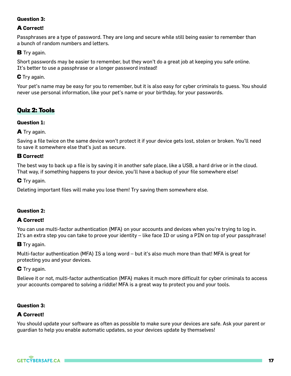## **Question 3:**

## **A Correct!**

Passphrases are a type of password. They are long and secure while still being easier to remember than a bunch of random numbers and letters.

## **B** Try again.

Short passwords may be easier to remember, but they won't do a great job at keeping you safe online. It's better to use a passphrase or a longer password instead!

## **C** Try again.

Your pet's name may be easy for you to remember, but it is also easy for cyber criminals to guess. You should never use personal information, like your pet's name or your birthday, for your passwords.

# **Quiz 2: Tools**

## **Question 1:**

**A** Try again.

Saving a file twice on the same device won't protect it if your device gets lost, stolen or broken. You'll need to save it somewhere else that's just as secure.

## **B Correct!**

The best way to back up a file is by saving it in another safe place, like a USB, a hard drive or in the cloud. That way, if something happens to your device, you'll have a backup of your file somewhere else!

**C** Try again.

Deleting important files will make you lose them! Try saving them somewhere else.

## **Question 2:**

## **A Correct!**

You can use multi-factor authentication (MFA) on your accounts and devices when you're trying to log in. It's an extra step you can take to prove your identity – like face ID or using a PIN on top of your passphrase!

## **B** Try again.

Multi-factor authentication (MFA) IS a long word – but it's also much more than that! MFA is great for protecting you and your devices.

## **C** Try again.

Believe it or not, multi-factor authentication (MFA) makes it much more difficult for cyber criminals to access your accounts compared to solving a riddle! MFA is a great way to protect you and your tools.

## **Question 3:**

## **A Correct!**

You should update your software as often as possible to make sure your devices are safe. Ask your parent or guardian to help you enable automatic updates, so your devices update by themselves!

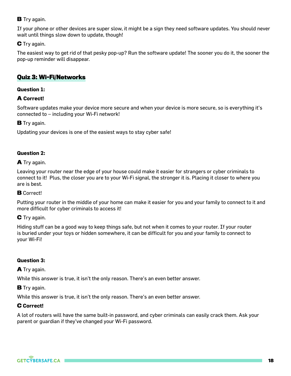## **B** Try again.

If your phone or other devices are super slow, it might be a sign they need software updates. You should never wait until things slow down to update, though!

## **C** Try again.

The easiest way to get rid of that pesky pop-up? Run the software update! The sooner you do it, the sooner the pop-up reminder will disappear.

## **Quiz 3: Wi-Fi/Networks**

#### **Question 1:**

## **A Correct!**

Software updates make your device more secure and when your device is more secure, so is everything it's connected to – including your Wi-Fi network!

**B** Try again.

Updating your devices is one of the easiest ways to stay cyber safe!

#### **Question 2:**

#### **A** Try again.

Leaving your router near the edge of your house could make it easier for strangers or cyber criminals to connect to it! Plus, the closer you are to your Wi-Fi signal, the stronger it is. Placing it closer to where you are is best.

#### **B** Correct!

Putting your router in the middle of your home can make it easier for you and your family to connect to it and more difficult for cyber criminals to access it!

## **C** Try again.

Hiding stuff can be a good way to keep things safe, but not when it comes to your router. If your router is buried under your toys or hidden somewhere, it can be difficult for you and your family to connect to your Wi-Fi!

## **Question 3:**

## **A** Try again.

While this answer is true, it isn't the only reason. There's an even better answer.

#### **B** Try again.

While this answer is true, it isn't the only reason. There's an even better answer.

## **C Correct!**

A lot of routers will have the same built-in password, and cyber criminals can easily crack them. Ask your parent or guardian if they've changed your Wi-Fi password.

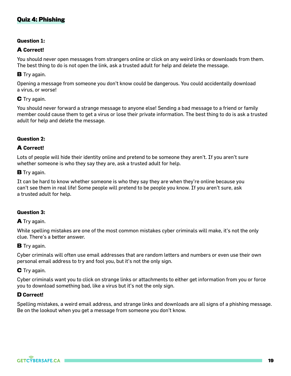# **Quiz 4: Phishing**

#### **Question 1:**

### **A Correct!**

You should never open messages from strangers online or click on any weird links or downloads from them. The best thing to do is not open the link, ask a trusted adult for help and delete the message.

**B** Try again.

Opening a message from someone you don't know could be dangerous. You could accidentally download a virus, or worse!

#### **C** Try again.

You should never forward a strange message to anyone else! Sending a bad message to a friend or family member could cause them to get a virus or lose their private information. The best thing to do is ask a trusted adult for help and delete the message.

#### **Question 2:**

#### **A Correct!**

Lots of people will hide their identity online and pretend to be someone they aren't. If you aren't sure whether someone is who they say they are, ask a trusted adult for help.

#### **B** Try again.

It can be hard to know whether someone is who they say they are when they're online because you can't see them in real life! Some people will pretend to be people you know. If you aren't sure, ask a trusted adult for help.

#### **Question 3:**

#### **A** Try again.

While spelling mistakes are one of the most common mistakes cyber criminals will make, it's not the only clue. There's a better answer.

#### **B** Trv again.

Cyber criminals will often use email addresses that are random letters and numbers or even use their own personal email address to try and fool you, but it's not the only sign.

#### **C** Try again.

Cyber criminals want you to click on strange links or attachments to either get information from you or force you to download something bad, like a virus but it's not the only sign.

#### **D Correct!**

Spelling mistakes, a weird email address, and strange links and downloads are all signs of a phishing message. Be on the lookout when you get a message from someone you don't know.

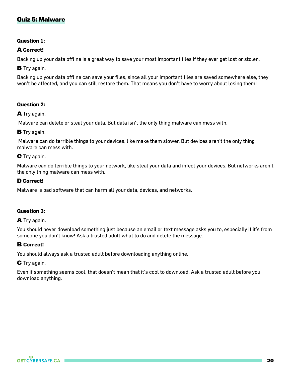## **Quiz 5: Malware**

## **Question 1:**

## **A Correct!**

Backing up your data offline is a great way to save your most important files if they ever get lost or stolen.

**B** Try again.

Backing up your data offline can save your files, since all your important files are saved somewhere else, they won't be affected, and you can still restore them. That means you don't have to worry about losing them!

## **Question 2:**

**A** Try again.

Malware can delete or steal your data. But data isn't the only thing malware can mess with.

#### **B** Try again.

 Malware can do terrible things to your devices, like make them slower. But devices aren't the only thing malware can mess with.

## **C** Try again.

Malware can do terrible things to your network, like steal your data and infect your devices. But networks aren't the only thing malware can mess with.

#### **D Correct!**

Malware is bad software that can harm all your data, devices, and networks.

#### **Question 3:**

#### **A** Try again.

You should never download something just because an email or text message asks you to, especially if it's from someone you don't know! Ask a trusted adult what to do and delete the message.

#### **B Correct!**

You should always ask a trusted adult before downloading anything online.

#### **C** Try again.

Even if something seems cool, that doesn't mean that it's cool to download. Ask a trusted adult before you download anything.

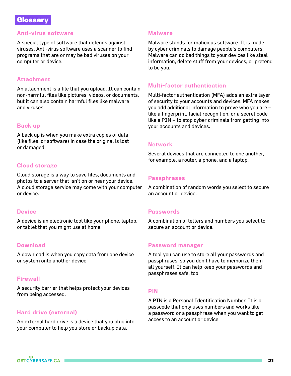## **Glossary**

### Anti-virus software

A special type of software that defends against viruses. Anti-virus software uses a scanner to find programs that are or may be bad viruses on your computer or device.

## Attachment

An attachment is a file that you upload. It can contain non-harmful files like pictures, videos, or documents, but it can also contain harmful files like malware and viruses.

## Back up

A back up is when you make extra copies of data (like files, or software) in case the original is lost or damaged.

## Cloud storage

Cloud storage is a way to save files, documents and photos to a server that isn't on or near your device. A cloud storage service may come with your computer or device.

## **Device**

A device is an electronic tool like your phone, laptop, or tablet that you might use at home.

## **Download**

A download is when you copy data from one device or system onto another device

#### **Firewall**

A security barrier that helps protect your devices from being accessed.

## Hard drive (external)

An external hard drive is a device that you plug into your computer to help you store or backup data.

### **Malware**

Malware stands for malicious software. It is made by cyber criminals to damage people's computers. Malware can do bad things to your devices like steal information, delete stuff from your devices, or pretend to be you.

### Multi-factor authentication

Multi-factor authentication (MFA) adds an extra layer of security to your accounts and devices. MFA makes you add additional information to prove who you are – like a fingerprint, facial recognition, or a secret code like a PIN – to stop cyber criminals from getting into your accounts and devices.

## Network

Several devices that are connected to one another, for example, a router, a phone, and a laptop.

## **Passphrases**

A combination of random words you select to secure an account or device.

## **Passwords**

A combination of letters and numbers you select to secure an account or device.

#### Password manager

A tool you can use to store all your passwords and passphrases, so you don't have to memorize them all yourself. It can help keep your passwords and passphrases safe, too.

#### PIN

A PIN is a Personal Identification Number. It is a passcode that only uses numbers and works like a password or a passphrase when you want to get access to an account or device.

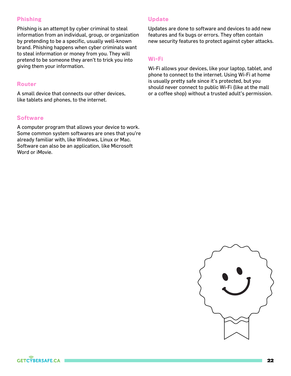## Phishing

Phishing is an attempt by cyber criminal to steal information from an individual, group, or organization by pretending to be a specific, usually well-known brand. Phishing happens when cyber criminals want to steal information or money from you. They will pretend to be someone they aren't to trick you into giving them your information.

## Router

A small device that connects our other devices, like tablets and phones, to the internet.

#### **Software**

A computer program that allows your device to work. Some common system softwares are ones that you're already familiar with, like Windows, Linux or Mac. Software can also be an application, like Microsoft Word or iMovie.

## Update

Updates are done to software and devices to add new features and fix bugs or errors. They often contain new security features to protect against cyber attacks.

#### Wi-Fi

Wi-Fi allows your devices, like your laptop, tablet, and phone to connect to the internet. Using Wi-Fi at home is usually pretty safe since it's protected, but you should never connect to public Wi-Fi (like at the mall or a coffee shop) without a trusted adult's permission.